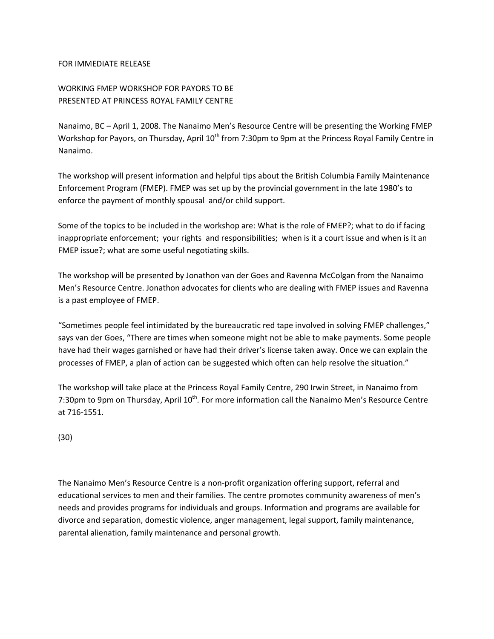## FOR IMMEDIATE RELEASE

## WORKING FMEP WORKSHOP FOR PAYORS TO BE PRESENTED AT PRINCESS ROYAL FAMILY CENTRE

Nanaimo, BC – April 1, 2008. The Nanaimo Men's Resource Centre will be presenting the Working FMEP Workshop for Payors, on Thursday, April 10<sup>th</sup> from 7:30pm to 9pm at the Princess Royal Family Centre in Nanaimo.

The workshop will present information and helpful tips about the British Columbia Family Maintenance Enforcement Program (FMEP). FMEP was set up by the provincial government in the late 1980's to enforce the payment of monthly spousal and/or child support.

Some of the topics to be included in the workshop are: What is the role of FMEP?; what to do if facing inappropriate enforcement; your rights and responsibilities; when is it a court issue and when is it an FMEP issue?; what are some useful negotiating skills.

The workshop will be presented by Jonathon van der Goes and Ravenna McColgan from the Nanaimo Men's Resource Centre. Jonathon advocates for clients who are dealing with FMEP issues and Ravenna is a past employee of FMEP.

"Sometimes people feel intimidated by the bureaucratic red tape involved in solving FMEP challenges," says van der Goes, "There are times when someone might not be able to make payments. Some people have had their wages garnished or have had their driver's license taken away. Once we can explain the processes of FMEP, a plan of action can be suggested which often can help resolve the situation."

The workshop will take place at the Princess Royal Family Centre, 290 Irwin Street, in Nanaimo from 7:30pm to 9pm on Thursday, April 10<sup>th</sup>. For more information call the Nanaimo Men's Resource Centre at 716‐1551.

(30)

The Nanaimo Men's Resource Centre is a non‐profit organization offering support, referral and educational services to men and their families. The centre promotes community awareness of men's needs and provides programs for individuals and groups. Information and programs are available for divorce and separation, domestic violence, anger management, legal support, family maintenance, parental alienation, family maintenance and personal growth.